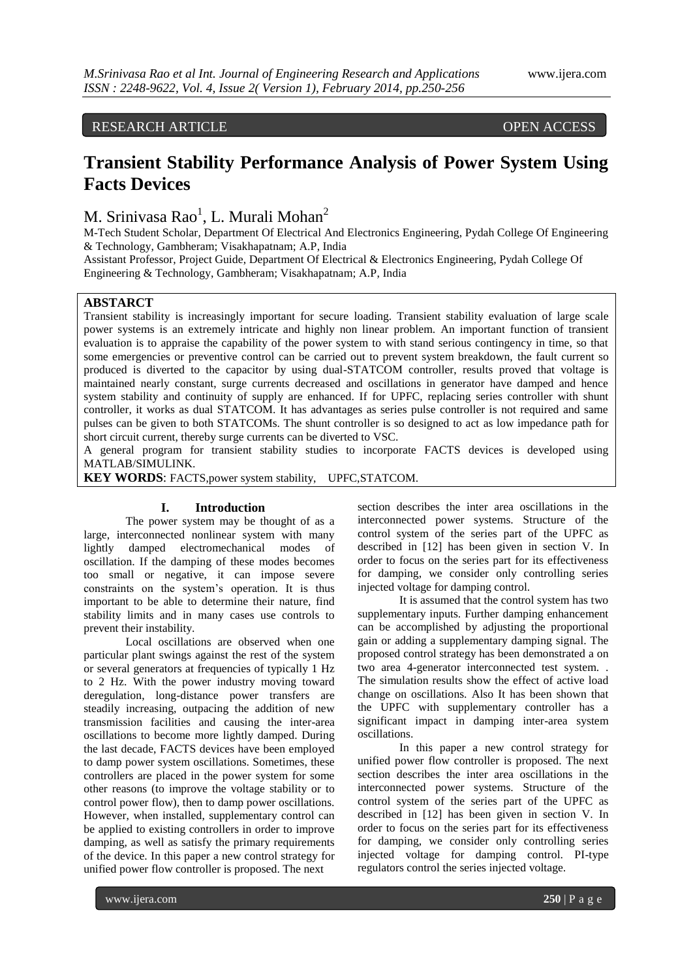## RESEARCH ARTICLE OPEN ACCESS

# **Transient Stability Performance Analysis of Power System Using Facts Devices**

M. Srinivasa Rao<sup>1</sup>, L. Murali Mohan<sup>2</sup>

M-Tech Student Scholar, Department Of Electrical And Electronics Engineering, Pydah College Of Engineering & Technology, Gambheram; Visakhapatnam; A.P, India

Assistant Professor, Project Guide, Department Of Electrical & Electronics Engineering, Pydah College Of Engineering & Technology, Gambheram; Visakhapatnam; A.P, India

### **ABSTARCT**

Transient stability is increasingly important for secure loading. Transient stability evaluation of large scale power systems is an extremely intricate and highly non linear problem. An important function of transient evaluation is to appraise the capability of the power system to with stand serious contingency in time, so that some emergencies or preventive control can be carried out to prevent system breakdown, the fault current so produced is diverted to the capacitor by using dual-STATCOM controller, results proved that voltage is maintained nearly constant, surge currents decreased and oscillations in generator have damped and hence system stability and continuity of supply are enhanced. If for UPFC, replacing series controller with shunt controller, it works as dual STATCOM. It has advantages as series pulse controller is not required and same pulses can be given to both STATCOMs. The shunt controller is so designed to act as low impedance path for short circuit current, thereby surge currents can be diverted to VSC.

A general program for transient stability studies to incorporate FACTS devices is developed using MATLAB/SIMULINK.

**KEY WORDS**: FACTS,power system stability, UPFC,STATCOM.

#### **I. Introduction**

The power system may be thought of as a large, interconnected nonlinear system with many lightly damped electromechanical modes of oscillation. If the damping of these modes becomes too small or negative, it can impose severe constraints on the system's operation. It is thus important to be able to determine their nature, find stability limits and in many cases use controls to prevent their instability.

Local oscillations are observed when one particular plant swings against the rest of the system or several generators at frequencies of typically 1 Hz to 2 Hz. With the power industry moving toward deregulation, long-distance power transfers are steadily increasing, outpacing the addition of new transmission facilities and causing the inter-area oscillations to become more lightly damped. During the last decade, FACTS devices have been employed to damp power system oscillations. Sometimes, these controllers are placed in the power system for some other reasons (to improve the voltage stability or to control power flow), then to damp power oscillations. However, when installed, supplementary control can be applied to existing controllers in order to improve damping, as well as satisfy the primary requirements of the device. In this paper a new control strategy for unified power flow controller is proposed. The next

section describes the inter area oscillations in the interconnected power systems. Structure of the control system of the series part of the UPFC as described in [12] has been given in section V. In order to focus on the series part for its effectiveness for damping, we consider only controlling series injected voltage for damping control.

It is assumed that the control system has two supplementary inputs. Further damping enhancement can be accomplished by adjusting the proportional gain or adding a supplementary damping signal. The proposed control strategy has been demonstrated a on two area 4-generator interconnected test system. . The simulation results show the effect of active load change on oscillations. Also It has been shown that the UPFC with supplementary controller has a significant impact in damping inter-area system oscillations.

In this paper a new control strategy for unified power flow controller is proposed. The next section describes the inter area oscillations in the interconnected power systems. Structure of the control system of the series part of the UPFC as described in [12] has been given in section V. In order to focus on the series part for its effectiveness for damping, we consider only controlling series injected voltage for damping control. PI-type regulators control the series injected voltage.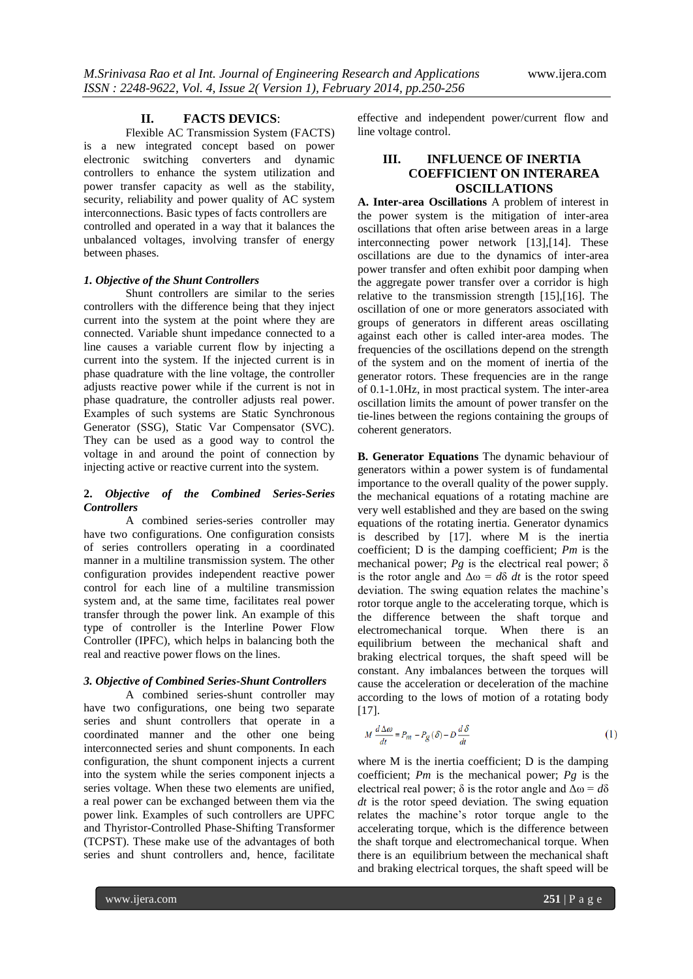#### **II. FACTS DEVICS**:

Flexible AC Transmission System (FACTS) is a new integrated concept based on power electronic switching converters and dynamic controllers to enhance the system utilization and power transfer capacity as well as the stability, security, reliability and power quality of AC system interconnections. Basic types of facts controllers are controlled and operated in a way that it balances the unbalanced voltages, involving transfer of energy between phases.

#### *1. Objective of the Shunt Controllers*

Shunt controllers are similar to the series controllers with the difference being that they inject current into the system at the point where they are connected. Variable shunt impedance connected to a line causes a variable current flow by injecting a current into the system. If the injected current is in phase quadrature with the line voltage, the controller adjusts reactive power while if the current is not in phase quadrature, the controller adjusts real power. Examples of such systems are Static Synchronous Generator (SSG), Static Var Compensator (SVC). They can be used as a good way to control the voltage in and around the point of connection by injecting active or reactive current into the system.

#### **2.** *Objective of the Combined Series-Series Controllers*

A combined series-series controller may have two configurations. One configuration consists of series controllers operating in a coordinated manner in a multiline transmission system. The other configuration provides independent reactive power control for each line of a multiline transmission system and, at the same time, facilitates real power transfer through the power link. An example of this type of controller is the Interline Power Flow Controller (IPFC), which helps in balancing both the real and reactive power flows on the lines.

#### *3. Objective of Combined Series-Shunt Controllers*

A combined series-shunt controller may have two configurations, one being two separate series and shunt controllers that operate in a coordinated manner and the other one being interconnected series and shunt components. In each configuration, the shunt component injects a current into the system while the series component injects a series voltage. When these two elements are unified, a real power can be exchanged between them via the power link. Examples of such controllers are UPFC and Thyristor-Controlled Phase-Shifting Transformer (TCPST). These make use of the advantages of both series and shunt controllers and, hence, facilitate

effective and independent power/current flow and line voltage control.

## **III. INFLUENCE OF INERTIA COEFFICIENT ON INTERAREA OSCILLATIONS**

**A. Inter-area Oscillations** A problem of interest in the power system is the mitigation of inter-area oscillations that often arise between areas in a large interconnecting power network [13],[14]. These oscillations are due to the dynamics of inter-area power transfer and often exhibit poor damping when the aggregate power transfer over a corridor is high relative to the transmission strength [15],[16]. The oscillation of one or more generators associated with groups of generators in different areas oscillating against each other is called inter-area modes. The frequencies of the oscillations depend on the strength of the system and on the moment of inertia of the generator rotors. These frequencies are in the range of 0.1-1.0Hz, in most practical system. The inter-area oscillation limits the amount of power transfer on the tie-lines between the regions containing the groups of coherent generators.

**B. Generator Equations** The dynamic behaviour of generators within a power system is of fundamental importance to the overall quality of the power supply. the mechanical equations of a rotating machine are very well established and they are based on the swing equations of the rotating inertia. Generator dynamics is described by [17]. where M is the inertia coefficient; D is the damping coefficient; *Pm* is the mechanical power;  $Pg$  is the electrical real power;  $\delta$ is the rotor angle and  $\Delta \omega = d\delta dt$  is the rotor speed deviation. The swing equation relates the machine's rotor torque angle to the accelerating torque, which is the difference between the shaft torque and electromechanical torque. When there is an equilibrium between the mechanical shaft and braking electrical torques, the shaft speed will be constant. Any imbalances between the torques will cause the acceleration or deceleration of the machine according to the lows of motion of a rotating body [17].

$$
M\frac{d\Delta\omega}{dt} = P_m - P_g(\delta) - D\frac{d\delta}{dt}
$$
 (1)

where M is the inertia coefficient; D is the damping coefficient; *Pm* is the mechanical power; *Pg* is the electrical real power;  $\delta$  is the rotor angle and  $\Delta \omega = d\delta$ *dt* is the rotor speed deviation. The swing equation relates the machine's rotor torque angle to the accelerating torque, which is the difference between the shaft torque and electromechanical torque. When there is an equilibrium between the mechanical shaft and braking electrical torques, the shaft speed will be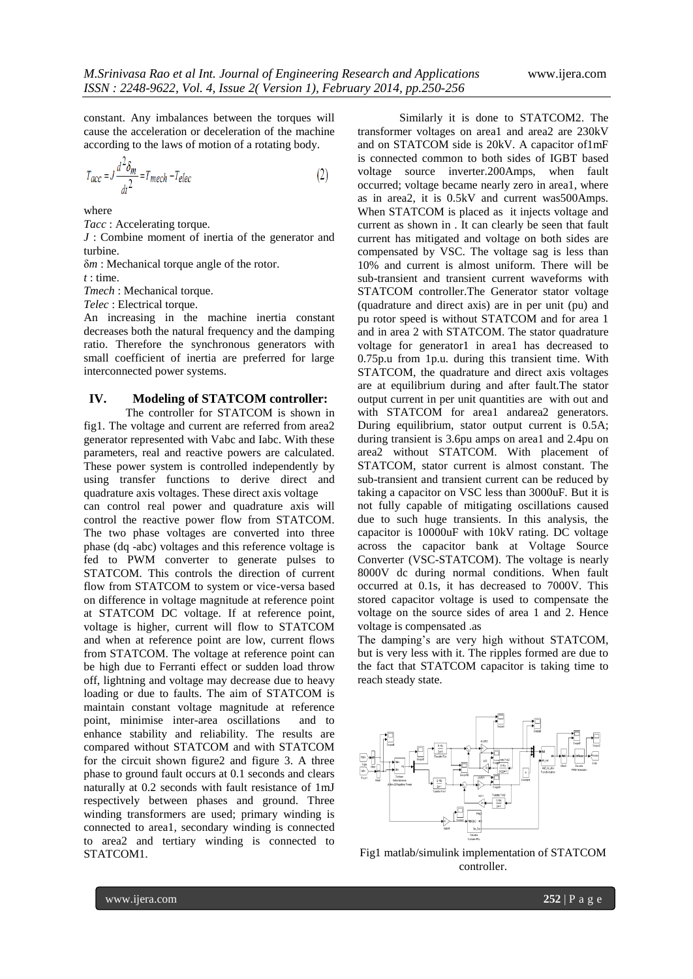constant. Any imbalances between the torques will cause the acceleration or deceleration of the machine according to the laws of motion of a rotating body.

$$
T_{acc} = J \frac{d^2 \delta_m}{dt^2} = T_{mech} - T_{elec}
$$
 (2)

where

*Tacc* : Accelerating torque.

*J* : Combine moment of inertia of the generator and turbine.

δ*m* : Mechanical torque angle of the rotor.

*t* : time.

*Tmech* : Mechanical torque.

*Telec* : Electrical torque.

An increasing in the machine inertia constant decreases both the natural frequency and the damping ratio. Therefore the synchronous generators with small coefficient of inertia are preferred for large interconnected power systems.

#### **IV. Modeling of STATCOM controller:**

The controller for STATCOM is shown in fig1. The voltage and current are referred from area2 generator represented with Vabc and Iabc. With these parameters, real and reactive powers are calculated. These power system is controlled independently by using transfer functions to derive direct and quadrature axis voltages. These direct axis voltage

can control real power and quadrature axis will control the reactive power flow from STATCOM. The two phase voltages are converted into three phase (dq -abc) voltages and this reference voltage is fed to PWM converter to generate pulses to STATCOM. This controls the direction of current flow from STATCOM to system or vice-versa based on difference in voltage magnitude at reference point at STATCOM DC voltage. If at reference point, voltage is higher, current will flow to STATCOM and when at reference point are low, current flows from STATCOM. The voltage at reference point can be high due to Ferranti effect or sudden load throw off, lightning and voltage may decrease due to heavy loading or due to faults. The aim of STATCOM is maintain constant voltage magnitude at reference point, minimise inter-area oscillations and to enhance stability and reliability. The results are compared without STATCOM and with STATCOM for the circuit shown figure2 and figure 3. A three phase to ground fault occurs at 0.1 seconds and clears naturally at 0.2 seconds with fault resistance of 1mJ respectively between phases and ground. Three winding transformers are used; primary winding is connected to area1, secondary winding is connected to area2 and tertiary winding is connected to STATCOM1.

Similarly it is done to STATCOM2. The transformer voltages on area1 and area2 are 230kV and on STATCOM side is 20kV. A capacitor of1mF is connected common to both sides of IGBT based voltage source inverter.200Amps, when fault occurred; voltage became nearly zero in area1, where as in area2, it is 0.5kV and current was500Amps. When STATCOM is placed as it injects voltage and current as shown in . It can clearly be seen that fault current has mitigated and voltage on both sides are compensated by VSC. The voltage sag is less than 10% and current is almost uniform. There will be sub-transient and transient current waveforms with STATCOM controller.The Generator stator voltage (quadrature and direct axis) are in per unit (pu) and pu rotor speed is without STATCOM and for area 1 and in area 2 with STATCOM. The stator quadrature voltage for generator1 in area1 has decreased to 0.75p.u from 1p.u. during this transient time. With STATCOM, the quadrature and direct axis voltages are at equilibrium during and after fault.The stator output current in per unit quantities are with out and with STATCOM for area1 andarea2 generators. During equilibrium, stator output current is 0.5A; during transient is 3.6pu amps on area1 and 2.4pu on area2 without STATCOM. With placement of STATCOM, stator current is almost constant. The sub-transient and transient current can be reduced by taking a capacitor on VSC less than 3000uF. But it is not fully capable of mitigating oscillations caused due to such huge transients. In this analysis, the capacitor is 10000uF with 10kV rating. DC voltage across the capacitor bank at Voltage Source Converter (VSC-STATCOM). The voltage is nearly 8000V dc during normal conditions. When fault occurred at 0.1s, it has decreased to 7000V. This stored capacitor voltage is used to compensate the voltage on the source sides of area 1 and 2. Hence voltage is compensated .as

The damping's are very high without STATCOM, but is very less with it. The ripples formed are due to the fact that STATCOM capacitor is taking time to reach steady state.



Fig1 matlab/simulink implementation of STATCOM controller.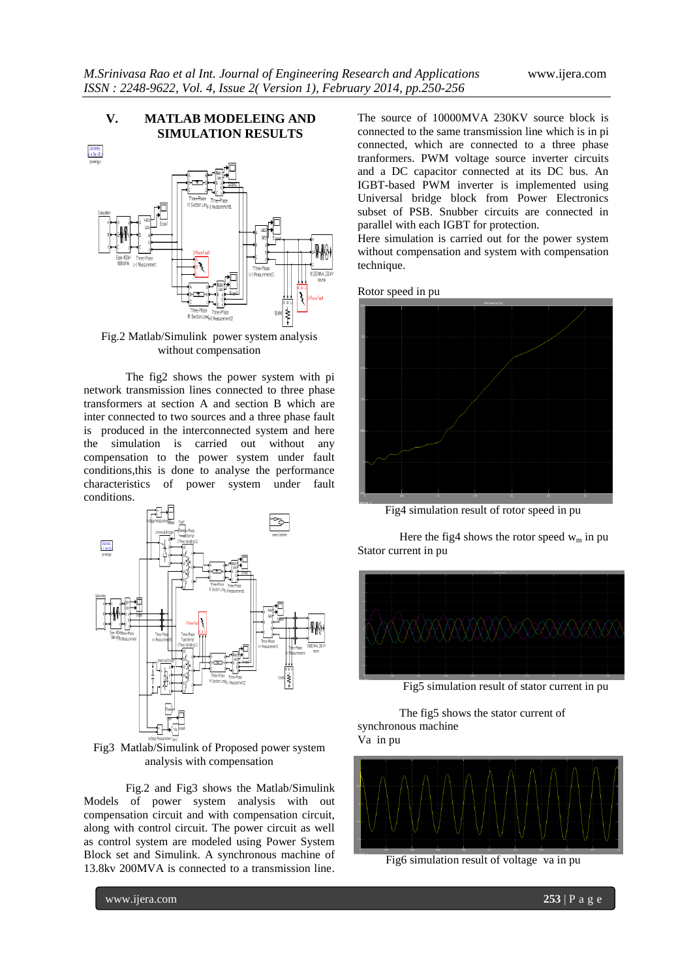#### **V. MATLAB MODELEING AND SIMULATION RESULTS**



Fig.2 Matlab/Simulink power system analysis without compensation

The fig2 shows the power system with pi network transmission lines connected to three phase transformers at section A and section B which are inter connected to two sources and a three phase fault is produced in the interconnected system and here the simulation is carried out without any compensation to the power system under fault conditions,this is done to analyse the performance characteristics of power system under fault conditions.



Fig3 Matlab/Simulink of Proposed power system analysis with compensation

Fig.2 and Fig3 shows the Matlab/Simulink Models of power system analysis with out compensation circuit and with compensation circuit, along with control circuit. The power circuit as well as control system are modeled using Power System Block set and Simulink. A synchronous machine of 13.8kv 200MVA is connected to a transmission line.

The source of 10000MVA 230KV source block is connected to the same transmission line which is in pi connected, which are connected to a three phase tranformers. PWM voltage source inverter circuits and a DC capacitor connected at its DC bus. An IGBT-based PWM inverter is implemented using Universal bridge block from Power Electronics subset of PSB. Snubber circuits are connected in parallel with each IGBT for protection.

Here simulation is carried out for the power system without compensation and system with compensation technique.

Rotor speed in pu



Fig4 simulation result of rotor speed in pu

Here the fig4 shows the rotor speed  $w_m$  in pu Stator current in pu



Fig5 simulation result of stator current in pu

The fig5 shows the stator current of synchronous machine Va in pu



Fig6 simulation result of voltage va in pu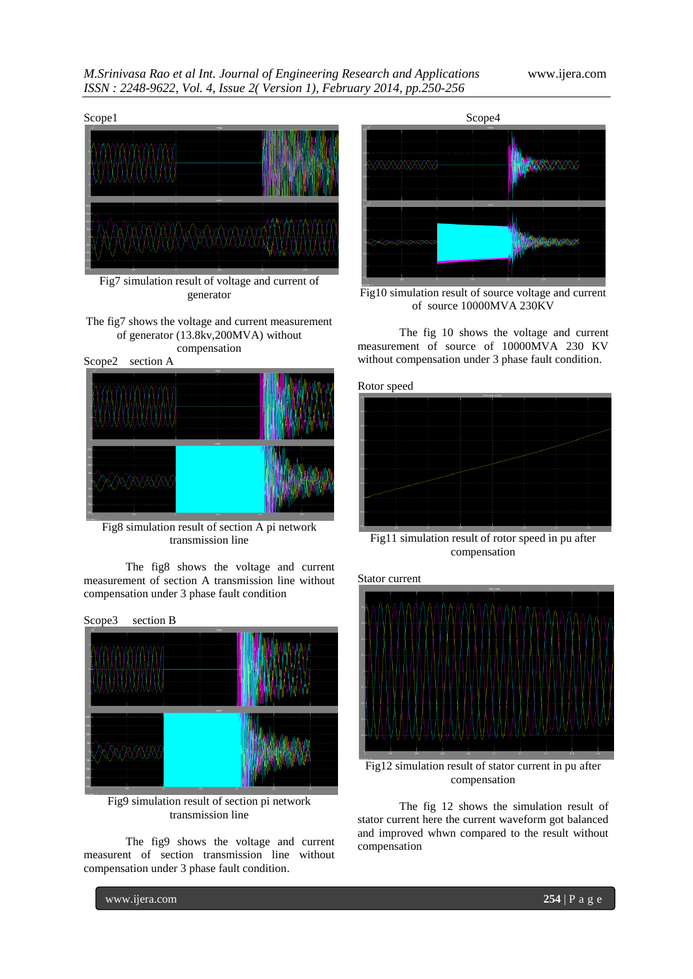

generator

The fig7 shows the voltage and current measurement of generator (13.8kv,200MVA) without compensation

Scope2 section A



Fig8 simulation result of section A pi network transmission line

The fig8 shows the voltage and current measurement of section A transmission line without compensation under 3 phase fault condition



Fig9 simulation result of section pi network transmission line

The fig9 shows the voltage and current measurent of section transmission line without compensation under 3 phase fault condition.



Fig10 simulation result of source voltage and current of source 10000MVA 230KV

The fig 10 shows the voltage and current measurement of source of 10000MVA 230 KV without compensation under 3 phase fault condition.





Fig11 simulation result of rotor speed in pu after compensation





Fig12 simulation result of stator current in pu after compensation

The fig 12 shows the simulation result of stator current here the current waveform got balanced and improved whwn compared to the result without compensation

www.ijera.com **254** | P a g e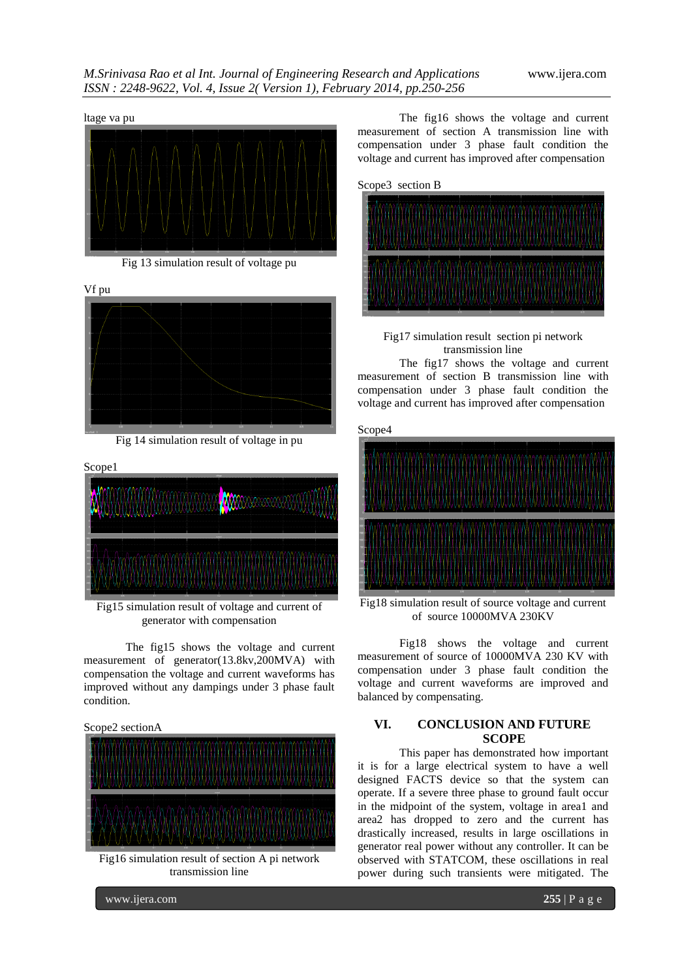

Fig 13 simulation result of voltage pu



Fig 14 simulation result of voltage in pu



Fig15 simulation result of voltage and current of generator with compensation

The fig15 shows the voltage and current measurement of generator(13.8kv,200MVA) with compensation the voltage and current waveforms has improved without any dampings under 3 phase fault condition.





Fig16 simulation result of section A pi network transmission line

The fig16 shows the voltage and current measurement of section A transmission line with compensation under 3 phase fault condition the voltage and current has improved after compensation

Scope3 section B





The fig17 shows the voltage and current measurement of section B transmission line with compensation under 3 phase fault condition the voltage and current has improved after compensation

Scope4



Fig18 simulation result of source voltage and current of source 10000MVA 230KV

Fig18 shows the voltage and current measurement of source of 10000MVA 230 KV with compensation under 3 phase fault condition the voltage and current waveforms are improved and balanced by compensating.

## **VI. CONCLUSION AND FUTURE SCOPE**

This paper has demonstrated how important it is for a large electrical system to have a well designed FACTS device so that the system can operate. If a severe three phase to ground fault occur in the midpoint of the system, voltage in area1 and area2 has dropped to zero and the current has drastically increased, results in large oscillations in generator real power without any controller. It can be observed with STATCOM, these oscillations in real power during such transients were mitigated. The